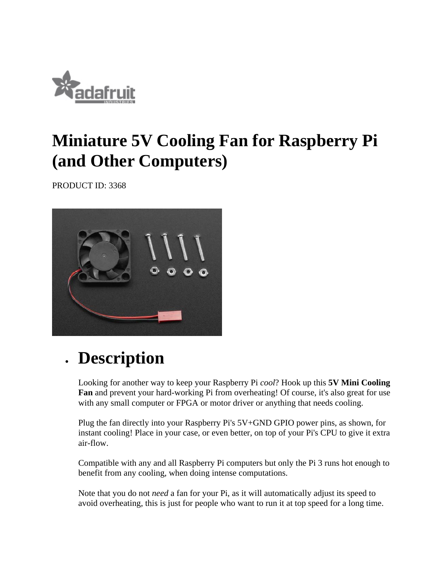

## **Miniature 5V Cooling Fan for Raspberry Pi (and Other Computers)**

PRODUCT ID: 3368



## **Description**

Looking for another way to keep your Raspberry Pi *cool*? Hook up this **5V Mini Cooling Fan** and prevent your hard-working Pi from overheating! Of course, it's also great for use with any small computer or FPGA or motor driver or anything that needs cooling.

Plug the fan directly into your Raspberry Pi's 5V+GND GPIO power pins, as shown, for instant cooling! Place in your case, or even better, on top of your Pi's CPU to give it extra air-flow.

Compatible with any and all Raspberry Pi computers but only the Pi 3 runs hot enough to benefit from any cooling, when doing intense computations.

Note that you do not *need* a fan for your Pi, as it will automatically adjust its speed to avoid overheating, this is just for people who want to run it at top speed for a long time.